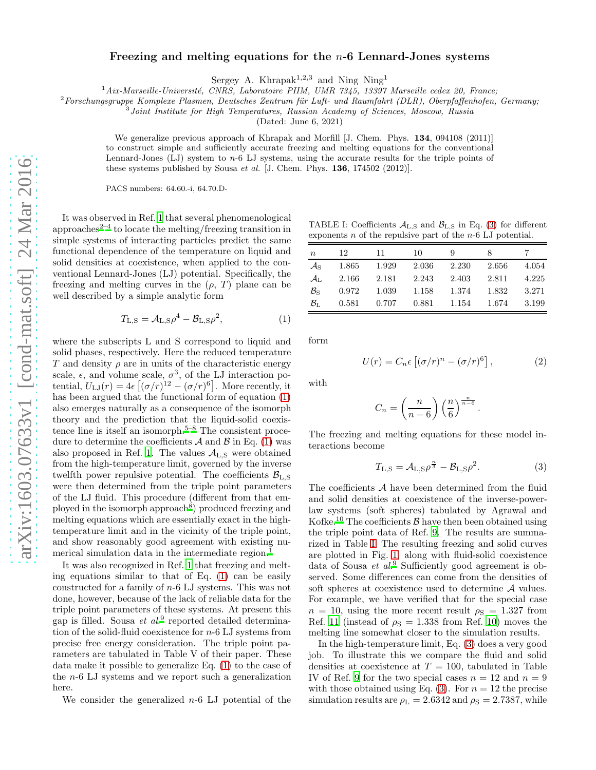## Freezing and melting equations for the  $n-6$  Lennard-Jones systems

Sergey A. Khrapak<sup>1,2,3</sup> and Ning Ning<sup>1</sup>

 $1\,Aix\text{-}Marseille-Université, CNRS, Laboratoire PIIM, UMR 7345, 13397 Marseille ceder 20, France;$ 

 $^{2}$ Forschungsgruppe Komplexe Plasmen, Deutsches Zentrum für Luft- und Raumfahrt (DLR), Oberpfaffenhofen, Germany;

Joint Institute for High Temperatures, Russian Academy of Sciences, Moscow, Russia

(Dated: June 6, 2021)

We generalize previous approach of Khrapak and Morfill [J. Chem. Phys. 134, 094108 (2011)] to construct simple and sufficiently accurate freezing and melting equations for the conventional Lennard-Jones (LJ) system to n-6 LJ systems, using the accurate results for the triple points of these systems published by Sousa et al. [J. Chem. Phys. 136, 174502 (2012)].

PACS numbers: 64.60.-i, 64.70.D-

It was observed in Ref. [1](#page-1-0) that several phenomenological approaches $2-4$  $2-4$  to locate the melting/freezing transition in simple systems of interacting particles predict the same functional dependence of the temperature on liquid and solid densities at coexistence, when applied to the conventional Lennard-Jones (LJ) potential. Specifically, the freezing and melting curves in the  $(\rho, T)$  plane can be well described by a simple analytic form

<span id="page-0-0"></span>
$$
T_{\text{L},\text{S}} = \mathcal{A}_{\text{L},\text{S}} \rho^4 - \mathcal{B}_{\text{L},\text{S}} \rho^2,\tag{1}
$$

where the subscripts L and S correspond to liquid and solid phases, respectively. Here the reduced temperature T and density  $\rho$  are in units of the characteristic energy scale,  $\epsilon$ , and volume scale,  $\sigma^3$ , of the LJ interaction potential,  $U_{\text{LJ}}(r) = 4\epsilon \left[ (\sigma/r)^{12} - (\sigma/r)^6 \right]$ . More recently, it has been argued that the functional form of equation  $(1)$ also emerges naturally as a consequence of the isomorph theory and the prediction that the liquid-solid coexis-tence line is itself an isomorph[.](#page-1-3)<sup>5[–8](#page-1-4)</sup> The consistent procedure to determine the coefficients  $A$  and  $B$  in Eq. [\(1\)](#page-0-0) was also proposed in Ref. [1](#page-1-0). The values  $A_{L,S}$  were obtained from the high-temperature limit, governed by the inverse twelfth power repulsive potential. The coefficients  $\mathcal{B}_{\text{L},\text{S}}$ were then determined from the triple point parameters of the LJ fluid. This procedure (different from that em-ployed in the isomorph approach<sup>[8](#page-1-4)</sup>) produced freezing and melting equations which are essentially exact in the hightemperature limit and in the vicinity of the triple point, and show reasonably good agreement with existing nu-merical simulation data in the intermediate region[.](#page-1-0)<sup>1</sup>

It was also recognized in Ref. [1](#page-1-0) that freezing and melting equations similar to that of Eq. [\(1\)](#page-0-0) can be easily constructed for a family of n-6 LJ systems. This was not done, however, because of the lack of reliable data for the triple point parameters of these systems. At present this gap is filled. Sousa *et al.*<sup>[9](#page-1-5)</sup> reported detailed determination of the solid-fluid coexistence for n-6 LJ systems from precise free energy consideration. The triple point parameters are tabulated in Table V of their paper. These data make it possible to generalize Eq. [\(1\)](#page-0-0) to the case of the n-6 LJ systems and we report such a generalization here.

We consider the generalized  $n-6$  LJ potential of the

<span id="page-0-2"></span>TABLE I: Coefficients  $A_{L,S}$  and  $B_{L,S}$  in Eq. [\(3\)](#page-0-1) for different exponents  $n$  of the repulsive part of the  $n-6$  LJ potential.

| $\boldsymbol{n}$           | 12    | 11    | 10    | Q     | ×     |       |
|----------------------------|-------|-------|-------|-------|-------|-------|
| $\mathcal{A}_{\rm S}$      | 1.865 | 1.929 | 2.036 | 2.230 | 2.656 | 4.054 |
| $\mathcal{A}_{\mathrm{L}}$ | 2.166 | 2.181 | 2.243 | 2.403 | 2.811 | 4.225 |
| $B_{\rm S}$                | 0.972 | 1.039 | 1.158 | 1.374 | 1.832 | 3.271 |
| $\mathcal{B}_{\mathrm{L}}$ | 0.581 | 0.707 | 0.881 | 1.154 | 1.674 | 3.199 |

form

$$
U(r) = C_n \epsilon \left[ (\sigma/r)^n - (\sigma/r)^6 \right], \tag{2}
$$

with

$$
C_n = \left(\frac{n}{n-6}\right) \left(\frac{n}{6}\right)^{\frac{n}{n-6}}.
$$

The freezing and melting equations for these model interactions become

<span id="page-0-1"></span>
$$
T_{\text{L},\text{S}} = \mathcal{A}_{\text{L},\text{S}} \rho^{\frac{n}{3}} - \mathcal{B}_{\text{L},\text{S}} \rho^2. \tag{3}
$$

The coefficients  $A$  have been determined from the fluid and solid densities at coexistence of the inverse-powerlaw systems (soft spheres) tabulated by Agrawal and Kofke.<sup>[10](#page-1-6)</sup> The coefficients  $\beta$  have then been obtained using the triple point data of Ref. [9](#page-1-5). The results are summarized in Table [I.](#page-0-2) The resulting freezing and solid curves are plotted in Fig. [1,](#page-1-7) along with fluid-solid coexistence data of Sousa et al.<sup>[9](#page-1-5)</sup> Sufficiently good agreement is observed. Some differences can come from the densities of soft spheres at coexistence used to determine A values. For example, we have verified that for the special case  $n = 10$ , using the more recent result  $\rho_{\rm S} = 1.327$  from Ref. [11](#page-1-8) (instead of  $\rho_s = 1.338$  from Ref. [10](#page-1-6)) moves the melting line somewhat closer to the simulation results.

In the high-temperature limit, Eq. [\(3\)](#page-0-1) does a very good job. To illustrate this we compare the fluid and solid densities at coexistence at  $T = 100$ , tabulated in Table IV of Ref. [9](#page-1-5) for the two special cases  $n = 12$  and  $n = 9$ with those obtained using Eq. [\(3\)](#page-0-1). For  $n = 12$  the precise simulation results are  $\rho_L = 2.6342$  and  $\rho_S = 2.7387$ , while